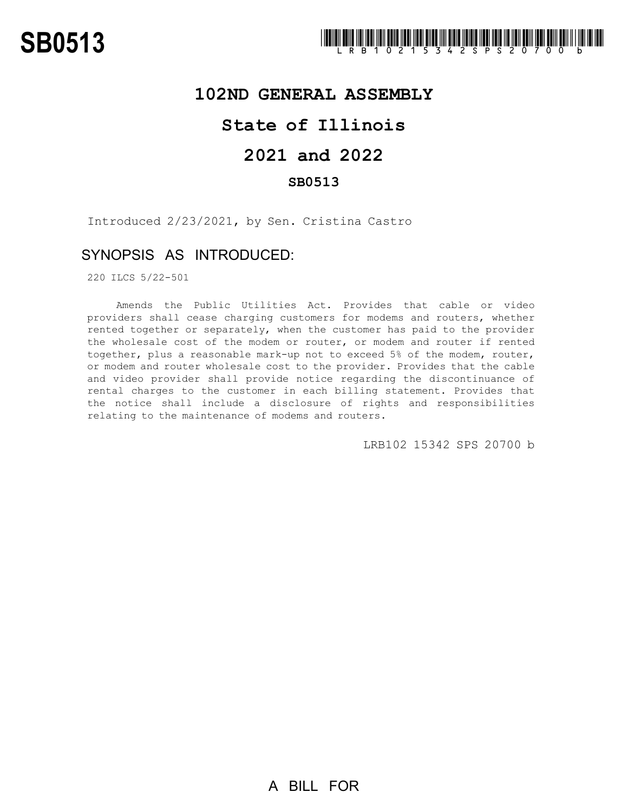## **102ND GENERAL ASSEMBLY**

# **State of Illinois**

# **2021 and 2022**

### **SB0513**

Introduced 2/23/2021, by Sen. Cristina Castro

## SYNOPSIS AS INTRODUCED:

220 ILCS 5/22-501

Amends the Public Utilities Act. Provides that cable or video providers shall cease charging customers for modems and routers, whether rented together or separately, when the customer has paid to the provider the wholesale cost of the modem or router, or modem and router if rented together, plus a reasonable mark-up not to exceed 5% of the modem, router, or modem and router wholesale cost to the provider. Provides that the cable and video provider shall provide notice regarding the discontinuance of rental charges to the customer in each billing statement. Provides that the notice shall include a disclosure of rights and responsibilities relating to the maintenance of modems and routers.

LRB102 15342 SPS 20700 b

A BILL FOR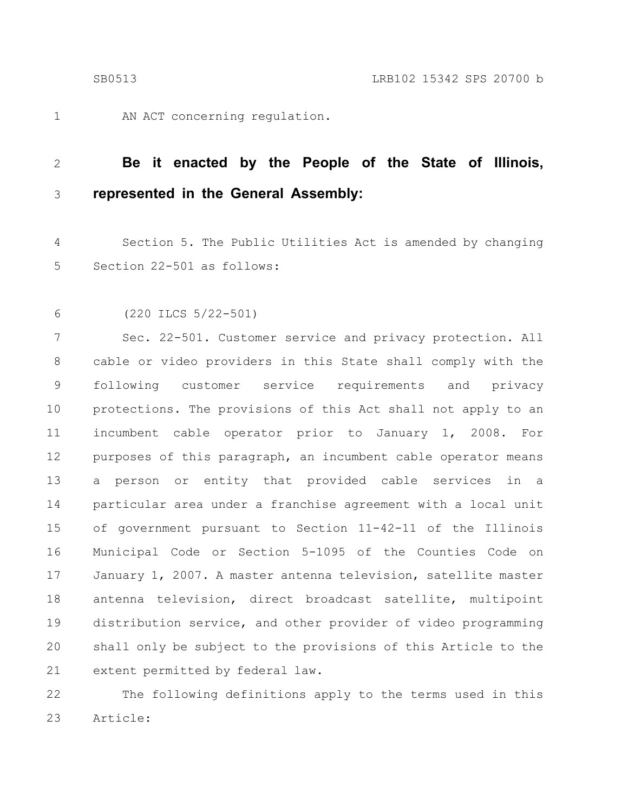1

AN ACT concerning regulation.

#### **Be it enacted by the People of the State of Illinois, represented in the General Assembly:** 2 3

Section 5. The Public Utilities Act is amended by changing Section 22-501 as follows: 4 5

(220 ILCS 5/22-501) 6

Sec. 22-501. Customer service and privacy protection. All cable or video providers in this State shall comply with the following customer service requirements and privacy protections. The provisions of this Act shall not apply to an incumbent cable operator prior to January 1, 2008. For purposes of this paragraph, an incumbent cable operator means a person or entity that provided cable services in a particular area under a franchise agreement with a local unit of government pursuant to Section 11-42-11 of the Illinois Municipal Code or Section 5-1095 of the Counties Code on January 1, 2007. A master antenna television, satellite master antenna television, direct broadcast satellite, multipoint distribution service, and other provider of video programming shall only be subject to the provisions of this Article to the extent permitted by federal law. 7 8 9 10 11 12 13 14 15 16 17 18 19 20 21

The following definitions apply to the terms used in this Article: 22 23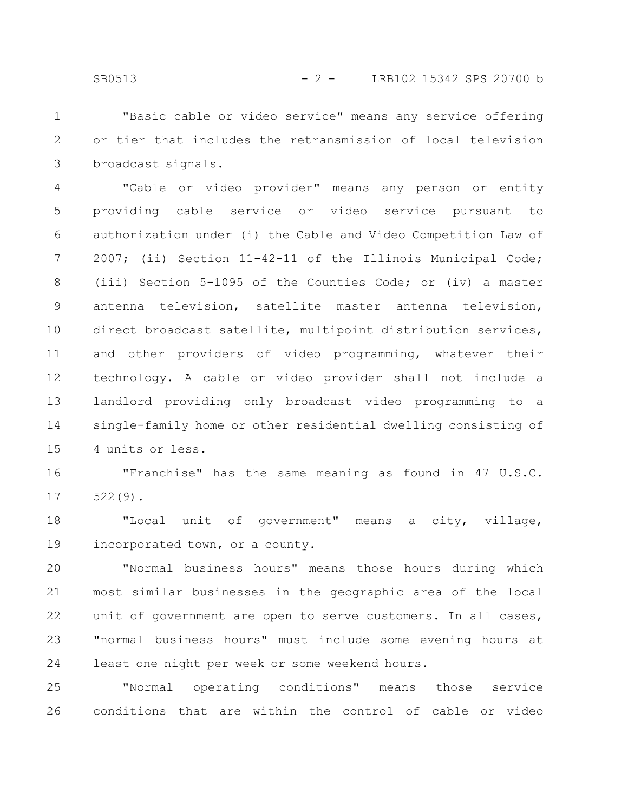"Basic cable or video service" means any service offering or tier that includes the retransmission of local television broadcast signals. 1 2 3

"Cable or video provider" means any person or entity providing cable service or video service pursuant to authorization under (i) the Cable and Video Competition Law of 2007; (ii) Section 11-42-11 of the Illinois Municipal Code; (iii) Section 5-1095 of the Counties Code; or (iv) a master antenna television, satellite master antenna television, direct broadcast satellite, multipoint distribution services, and other providers of video programming, whatever their technology. A cable or video provider shall not include a landlord providing only broadcast video programming to a single-family home or other residential dwelling consisting of 4 units or less. 4 5 6 7 8 9 10 11 12 13 14 15

"Franchise" has the same meaning as found in 47 U.S.C. 522(9). 16 17

"Local unit of government" means a city, village, incorporated town, or a county. 18 19

"Normal business hours" means those hours during which most similar businesses in the geographic area of the local unit of government are open to serve customers. In all cases, "normal business hours" must include some evening hours at least one night per week or some weekend hours. 20 21 22 23 24

"Normal operating conditions" means those service conditions that are within the control of cable or video 25 26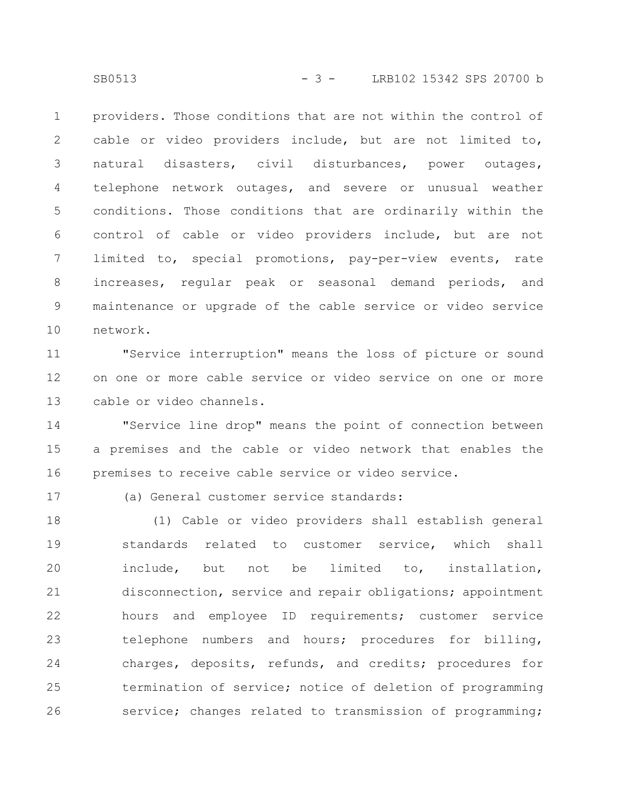providers. Those conditions that are not within the control of cable or video providers include, but are not limited to, natural disasters, civil disturbances, power outages, telephone network outages, and severe or unusual weather conditions. Those conditions that are ordinarily within the control of cable or video providers include, but are not limited to, special promotions, pay-per-view events, rate increases, regular peak or seasonal demand periods, and maintenance or upgrade of the cable service or video service network. 1 2 3 4 5 6 7 8 9 10

"Service interruption" means the loss of picture or sound on one or more cable service or video service on one or more cable or video channels. 11 12 13

"Service line drop" means the point of connection between a premises and the cable or video network that enables the premises to receive cable service or video service. 14 15 16

17

(a) General customer service standards:

(1) Cable or video providers shall establish general standards related to customer service, which shall include, but not be limited to, installation, disconnection, service and repair obligations; appointment hours and employee ID requirements; customer service telephone numbers and hours; procedures for billing, charges, deposits, refunds, and credits; procedures for termination of service; notice of deletion of programming service; changes related to transmission of programming; 18 19 20 21 22 23 24 25 26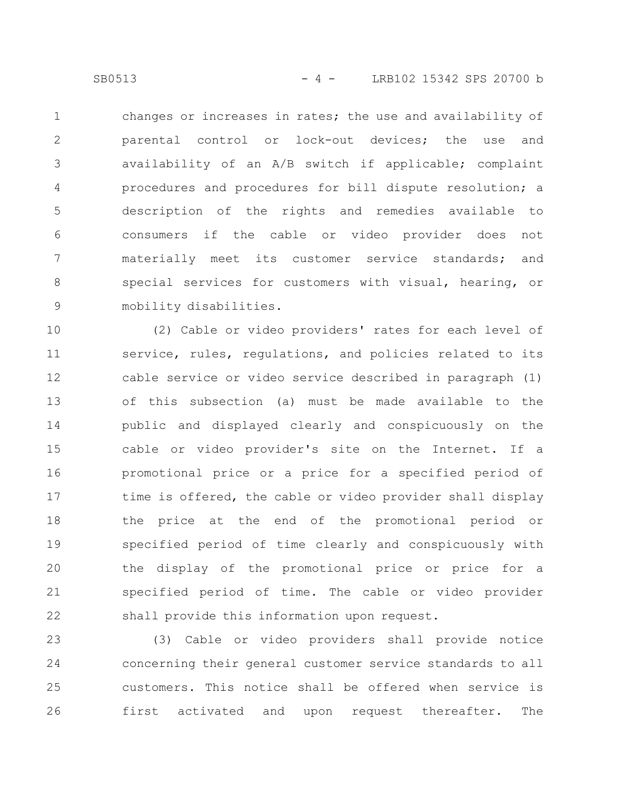changes or increases in rates; the use and availability of parental control or lock-out devices; the use and availability of an A/B switch if applicable; complaint procedures and procedures for bill dispute resolution; a description of the rights and remedies available to consumers if the cable or video provider does not materially meet its customer service standards; and special services for customers with visual, hearing, or mobility disabilities. 1 2 3 4 5 6 7 8 9

(2) Cable or video providers' rates for each level of service, rules, regulations, and policies related to its cable service or video service described in paragraph (1) of this subsection (a) must be made available to the public and displayed clearly and conspicuously on the cable or video provider's site on the Internet. If a promotional price or a price for a specified period of time is offered, the cable or video provider shall display the price at the end of the promotional period or specified period of time clearly and conspicuously with the display of the promotional price or price for a specified period of time. The cable or video provider shall provide this information upon request. 10 11 12 13 14 15 16 17 18 19 20 21 22

(3) Cable or video providers shall provide notice concerning their general customer service standards to all customers. This notice shall be offered when service is first activated and upon request thereafter. The 23 24 25 26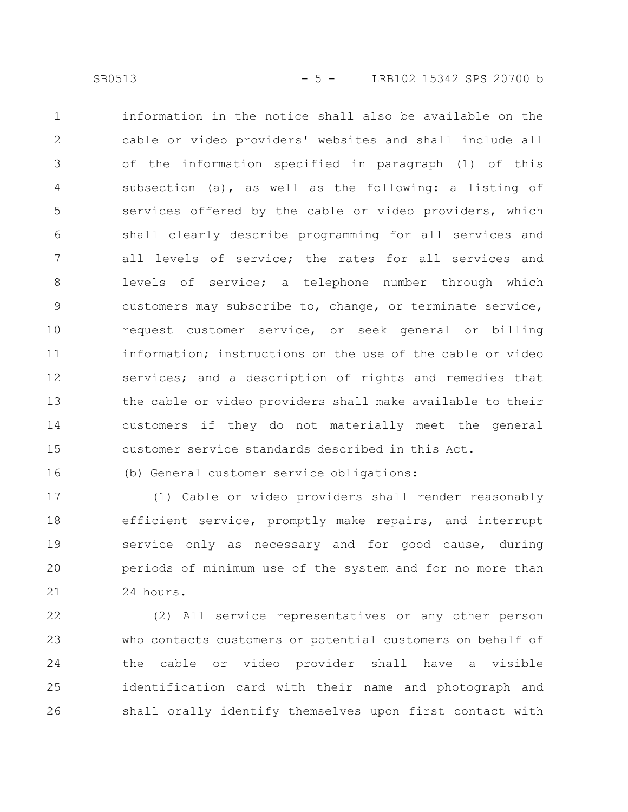information in the notice shall also be available on the cable or video providers' websites and shall include all of the information specified in paragraph (1) of this subsection (a), as well as the following: a listing of services offered by the cable or video providers, which shall clearly describe programming for all services and all levels of service; the rates for all services and levels of service; a telephone number through which customers may subscribe to, change, or terminate service, request customer service, or seek general or billing information; instructions on the use of the cable or video services; and a description of rights and remedies that the cable or video providers shall make available to their customers if they do not materially meet the general customer service standards described in this Act. 1 2 3 4 5 6 7 8 9 10 11 12 13 14 15

16

(b) General customer service obligations:

(1) Cable or video providers shall render reasonably efficient service, promptly make repairs, and interrupt service only as necessary and for good cause, during periods of minimum use of the system and for no more than 24 hours. 17 18 19 20 21

(2) All service representatives or any other person who contacts customers or potential customers on behalf of the cable or video provider shall have a visible identification card with their name and photograph and shall orally identify themselves upon first contact with 22 23 24 25 26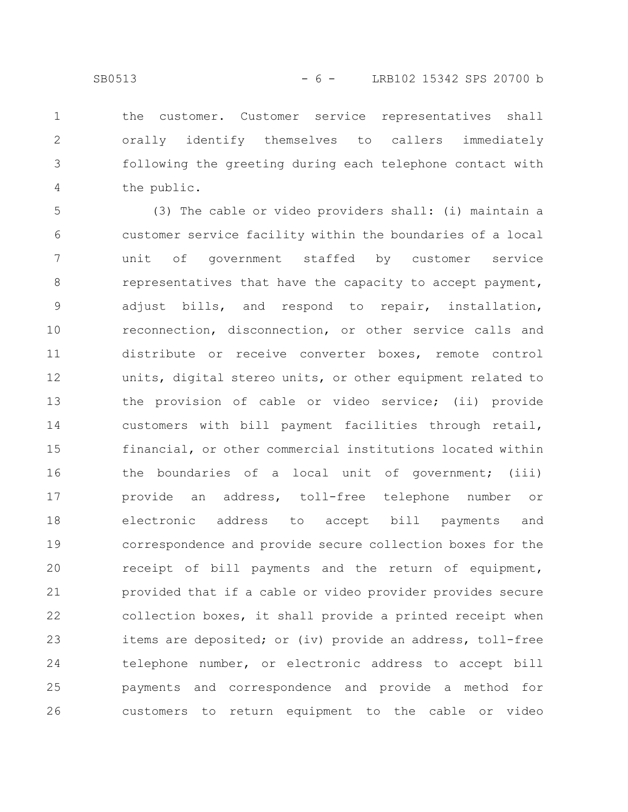the customer. Customer service representatives shall orally identify themselves to callers immediately following the greeting during each telephone contact with the public. 1 2 3 4

(3) The cable or video providers shall: (i) maintain a customer service facility within the boundaries of a local unit of government staffed by customer service representatives that have the capacity to accept payment, adjust bills, and respond to repair, installation, reconnection, disconnection, or other service calls and distribute or receive converter boxes, remote control units, digital stereo units, or other equipment related to the provision of cable or video service; (ii) provide customers with bill payment facilities through retail, financial, or other commercial institutions located within the boundaries of a local unit of government; (iii) provide an address, toll-free telephone number or electronic address to accept bill payments and correspondence and provide secure collection boxes for the receipt of bill payments and the return of equipment, provided that if a cable or video provider provides secure collection boxes, it shall provide a printed receipt when items are deposited; or (iv) provide an address, toll-free telephone number, or electronic address to accept bill payments and correspondence and provide a method for customers to return equipment to the cable or video 5 6 7 8 9 10 11 12 13 14 15 16 17 18 19 20 21 22 23 24 25 26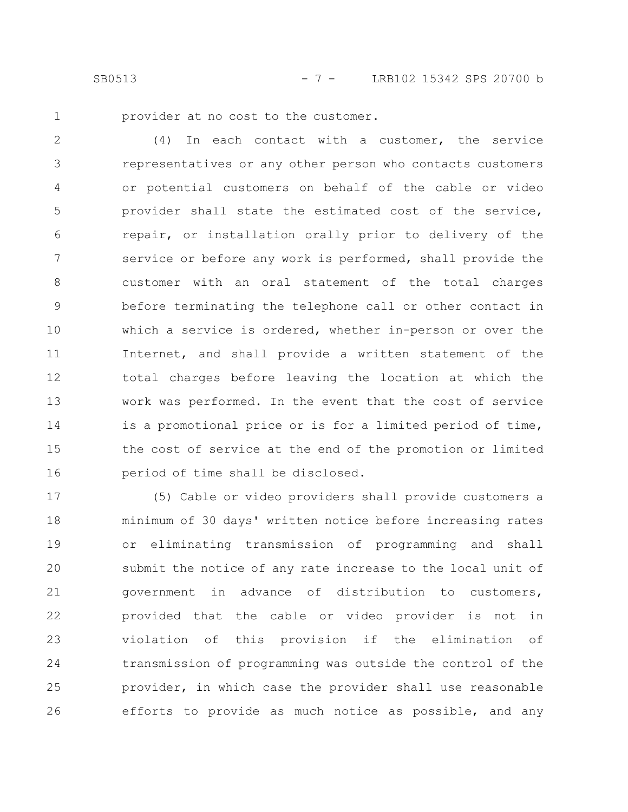SB0513 - 7 - LRB102 15342 SPS 20700 b

1

provider at no cost to the customer.

(4) In each contact with a customer, the service representatives or any other person who contacts customers or potential customers on behalf of the cable or video provider shall state the estimated cost of the service, repair, or installation orally prior to delivery of the service or before any work is performed, shall provide the customer with an oral statement of the total charges before terminating the telephone call or other contact in which a service is ordered, whether in-person or over the Internet, and shall provide a written statement of the total charges before leaving the location at which the work was performed. In the event that the cost of service is a promotional price or is for a limited period of time, the cost of service at the end of the promotion or limited period of time shall be disclosed. 2 3 4 5 6 7 8 9 10 11 12 13 14 15 16

(5) Cable or video providers shall provide customers a minimum of 30 days' written notice before increasing rates or eliminating transmission of programming and shall submit the notice of any rate increase to the local unit of government in advance of distribution to customers, provided that the cable or video provider is not in violation of this provision if the elimination of transmission of programming was outside the control of the provider, in which case the provider shall use reasonable efforts to provide as much notice as possible, and any 17 18 19 20 21 22 23 24 25 26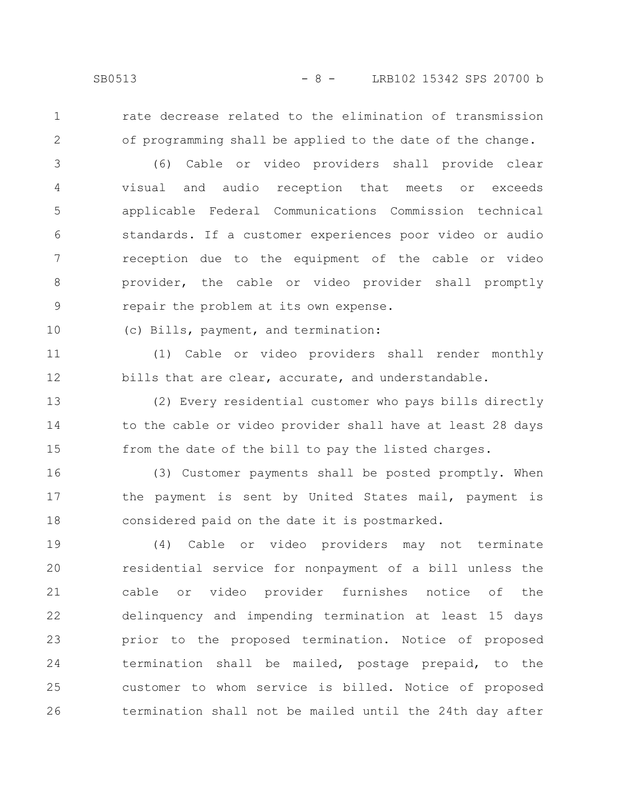1

2

rate decrease related to the elimination of transmission of programming shall be applied to the date of the change.

(6) Cable or video providers shall provide clear visual and audio reception that meets or exceeds applicable Federal Communications Commission technical standards. If a customer experiences poor video or audio reception due to the equipment of the cable or video provider, the cable or video provider shall promptly repair the problem at its own expense. 3 4 5 6 7 8 9

(c) Bills, payment, and termination: 10

(1) Cable or video providers shall render monthly bills that are clear, accurate, and understandable. 11 12

(2) Every residential customer who pays bills directly to the cable or video provider shall have at least 28 days from the date of the bill to pay the listed charges. 13 14 15

(3) Customer payments shall be posted promptly. When the payment is sent by United States mail, payment is considered paid on the date it is postmarked. 16 17 18

(4) Cable or video providers may not terminate residential service for nonpayment of a bill unless the cable or video provider furnishes notice of the delinquency and impending termination at least 15 days prior to the proposed termination. Notice of proposed termination shall be mailed, postage prepaid, to the customer to whom service is billed. Notice of proposed termination shall not be mailed until the 24th day after 19 20 21 22 23 24 25 26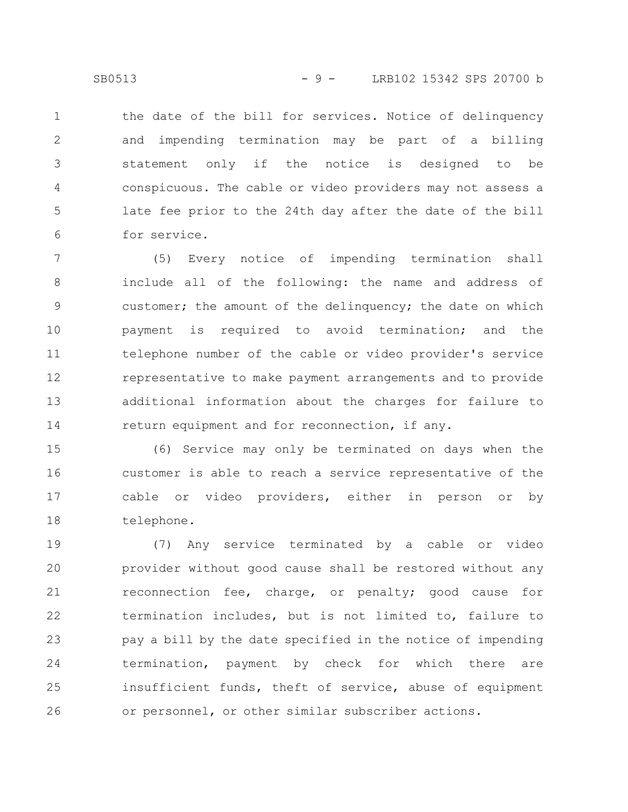the date of the bill for services. Notice of delinquency and impending termination may be part of a billing statement only if the notice is designed to be conspicuous. The cable or video providers may not assess a late fee prior to the 24th day after the date of the bill for service. 1 2 3 4 5 6

(5) Every notice of impending termination shall include all of the following: the name and address of customer; the amount of the delinquency; the date on which payment is required to avoid termination; and the telephone number of the cable or video provider's service representative to make payment arrangements and to provide additional information about the charges for failure to return equipment and for reconnection, if any. 7 8 9 10 11 12 13 14

(6) Service may only be terminated on days when the customer is able to reach a service representative of the cable or video providers, either in person or by telephone. 15 16 17 18

(7) Any service terminated by a cable or video provider without good cause shall be restored without any reconnection fee, charge, or penalty; good cause for termination includes, but is not limited to, failure to pay a bill by the date specified in the notice of impending termination, payment by check for which there are insufficient funds, theft of service, abuse of equipment or personnel, or other similar subscriber actions. 19 20 21 22 23 24 25 26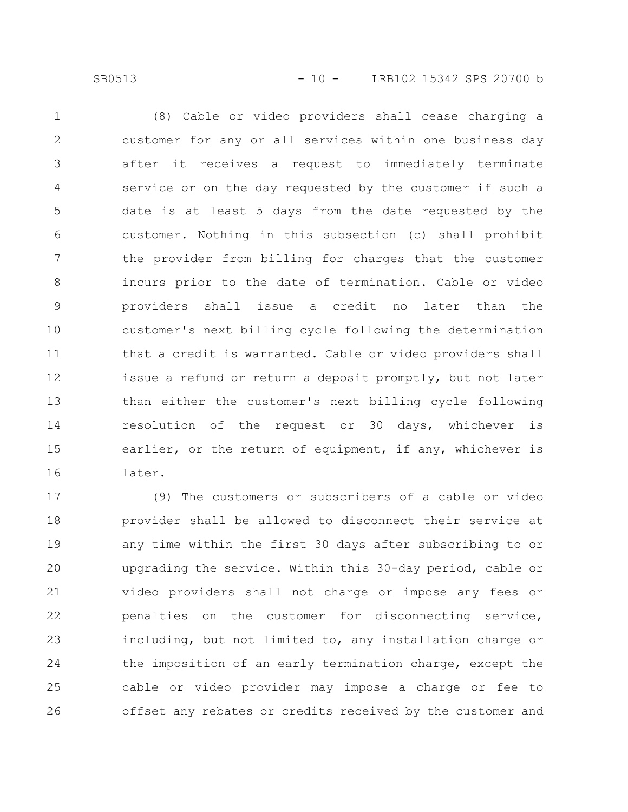SB0513 - 10 - LRB102 15342 SPS 20700 b

(8) Cable or video providers shall cease charging a customer for any or all services within one business day after it receives a request to immediately terminate service or on the day requested by the customer if such a date is at least 5 days from the date requested by the customer. Nothing in this subsection (c) shall prohibit the provider from billing for charges that the customer incurs prior to the date of termination. Cable or video providers shall issue a credit no later than the customer's next billing cycle following the determination that a credit is warranted. Cable or video providers shall issue a refund or return a deposit promptly, but not later than either the customer's next billing cycle following resolution of the request or 30 days, whichever is earlier, or the return of equipment, if any, whichever is later. 1 2 3 4 5 6 7 8 9 10 11 12 13 14 15 16

(9) The customers or subscribers of a cable or video provider shall be allowed to disconnect their service at any time within the first 30 days after subscribing to or upgrading the service. Within this 30-day period, cable or video providers shall not charge or impose any fees or penalties on the customer for disconnecting service, including, but not limited to, any installation charge or the imposition of an early termination charge, except the cable or video provider may impose a charge or fee to offset any rebates or credits received by the customer and 17 18 19 20 21 22 23 24 25 26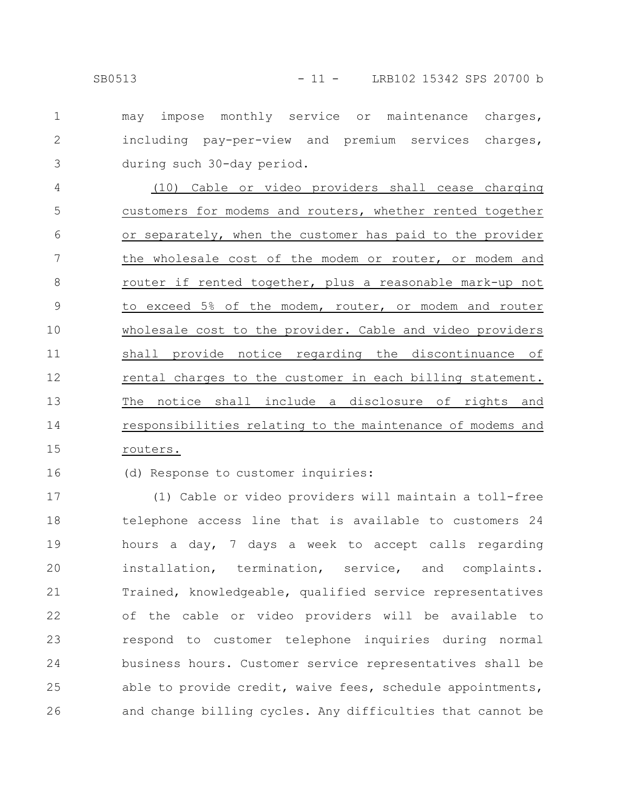may impose monthly service or maintenance charges, including pay-per-view and premium services charges, during such 30-day period. 1 2 3

(10) Cable or video providers shall cease charging customers for modems and routers, whether rented together or separately, when the customer has paid to the provider the wholesale cost of the modem or router, or modem and router if rented together, plus a reasonable mark-up not to exceed 5% of the modem, router, or modem and router wholesale cost to the provider. Cable and video providers shall provide notice regarding the discontinuance of rental charges to the customer in each billing statement. The notice shall include a disclosure of rights and responsibilities relating to the maintenance of modems and routers. 4 5 6 7 8 9 10 11 12 13 14 15

### 16

(d) Response to customer inquiries:

(1) Cable or video providers will maintain a toll-free telephone access line that is available to customers 24 hours a day, 7 days a week to accept calls regarding installation, termination, service, and complaints. Trained, knowledgeable, qualified service representatives of the cable or video providers will be available to respond to customer telephone inquiries during normal business hours. Customer service representatives shall be able to provide credit, waive fees, schedule appointments, and change billing cycles. Any difficulties that cannot be 17 18 19 20 21 22 23 24 25 26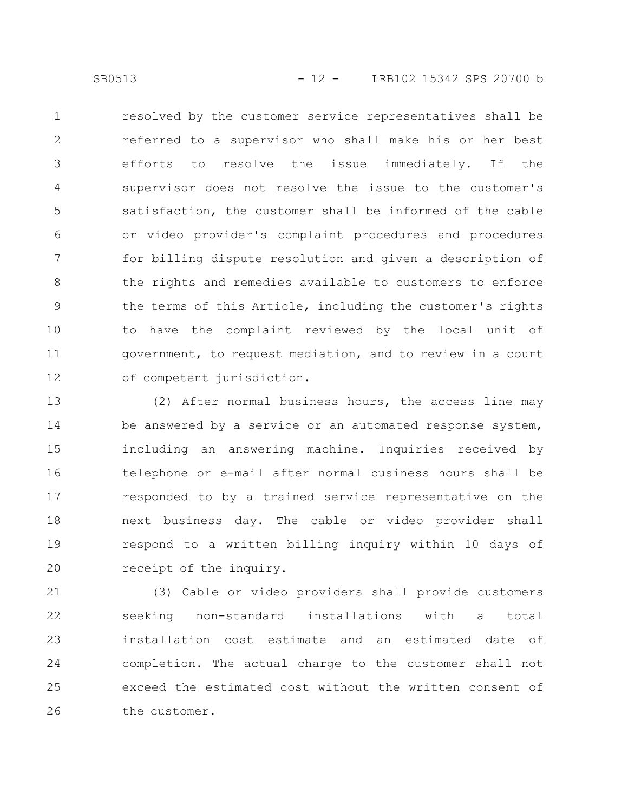resolved by the customer service representatives shall be referred to a supervisor who shall make his or her best efforts to resolve the issue immediately. If the supervisor does not resolve the issue to the customer's satisfaction, the customer shall be informed of the cable or video provider's complaint procedures and procedures for billing dispute resolution and given a description of the rights and remedies available to customers to enforce the terms of this Article, including the customer's rights to have the complaint reviewed by the local unit of government, to request mediation, and to review in a court of competent jurisdiction. 1 2 3 4 5 6 7 8 9 10 11 12

(2) After normal business hours, the access line may be answered by a service or an automated response system, including an answering machine. Inquiries received by telephone or e-mail after normal business hours shall be responded to by a trained service representative on the next business day. The cable or video provider shall respond to a written billing inquiry within 10 days of receipt of the inquiry. 13 14 15 16 17 18 19 20

(3) Cable or video providers shall provide customers seeking non-standard installations with a total installation cost estimate and an estimated date of completion. The actual charge to the customer shall not exceed the estimated cost without the written consent of the customer. 21 22 23 24 25 26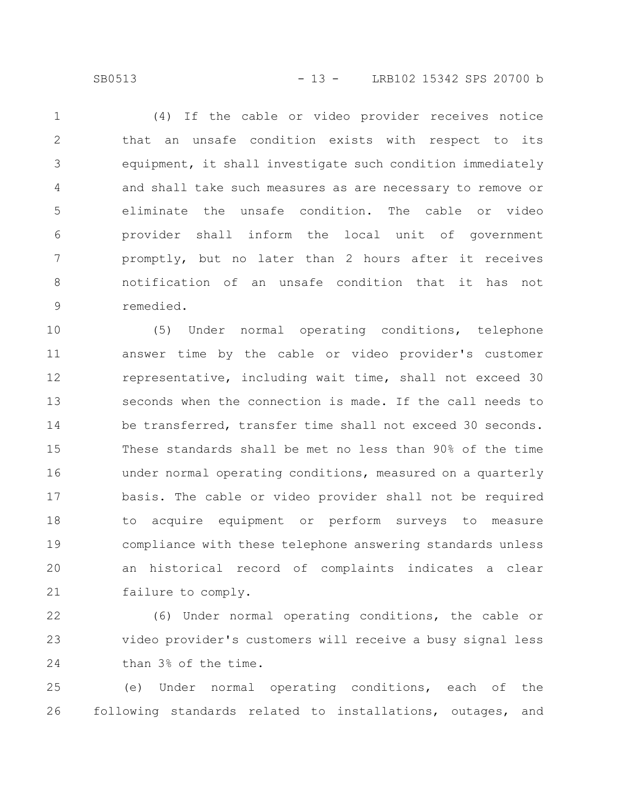(4) If the cable or video provider receives notice that an unsafe condition exists with respect to its equipment, it shall investigate such condition immediately and shall take such measures as are necessary to remove or eliminate the unsafe condition. The cable or video provider shall inform the local unit of government promptly, but no later than 2 hours after it receives notification of an unsafe condition that it has not remedied. 1 2 3 4 5 6 7 8 9

(5) Under normal operating conditions, telephone answer time by the cable or video provider's customer representative, including wait time, shall not exceed 30 seconds when the connection is made. If the call needs to be transferred, transfer time shall not exceed 30 seconds. These standards shall be met no less than 90% of the time under normal operating conditions, measured on a quarterly basis. The cable or video provider shall not be required to acquire equipment or perform surveys to measure compliance with these telephone answering standards unless an historical record of complaints indicates a clear failure to comply. 10 11 12 13 14 15 16 17 18 19 20 21

(6) Under normal operating conditions, the cable or video provider's customers will receive a busy signal less than 3% of the time. 22 23 24

(e) Under normal operating conditions, each of the following standards related to installations, outages, and 25 26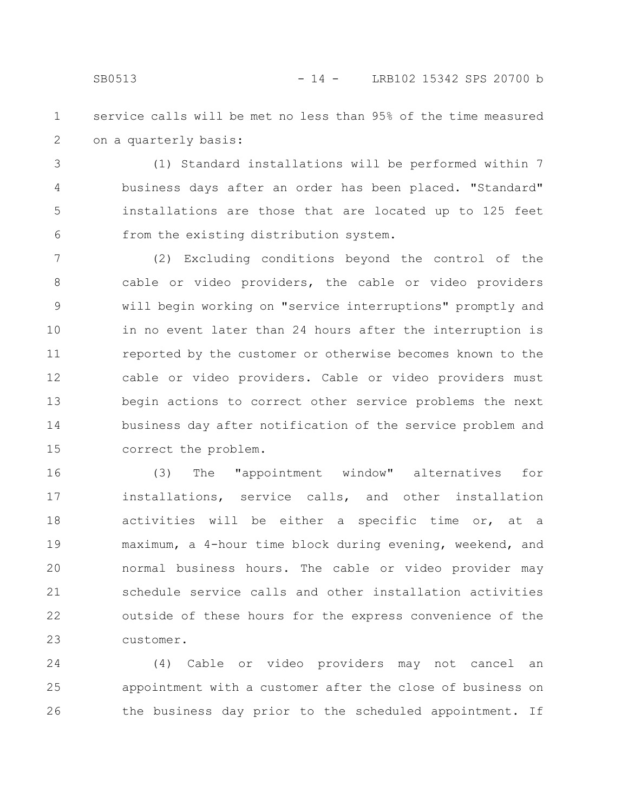service calls will be met no less than 95% of the time measured on a quarterly basis: 1 2

(1) Standard installations will be performed within 7 business days after an order has been placed. "Standard" installations are those that are located up to 125 feet from the existing distribution system. 3 4 5 6

(2) Excluding conditions beyond the control of the cable or video providers, the cable or video providers will begin working on "service interruptions" promptly and in no event later than 24 hours after the interruption is reported by the customer or otherwise becomes known to the cable or video providers. Cable or video providers must begin actions to correct other service problems the next business day after notification of the service problem and correct the problem. 7 8 9 10 11 12 13 14 15

(3) The "appointment window" alternatives for installations, service calls, and other installation activities will be either a specific time or, at a maximum, a 4-hour time block during evening, weekend, and normal business hours. The cable or video provider may schedule service calls and other installation activities outside of these hours for the express convenience of the customer. 16 17 18 19 20 21 22 23

(4) Cable or video providers may not cancel an appointment with a customer after the close of business on the business day prior to the scheduled appointment. If 24 25 26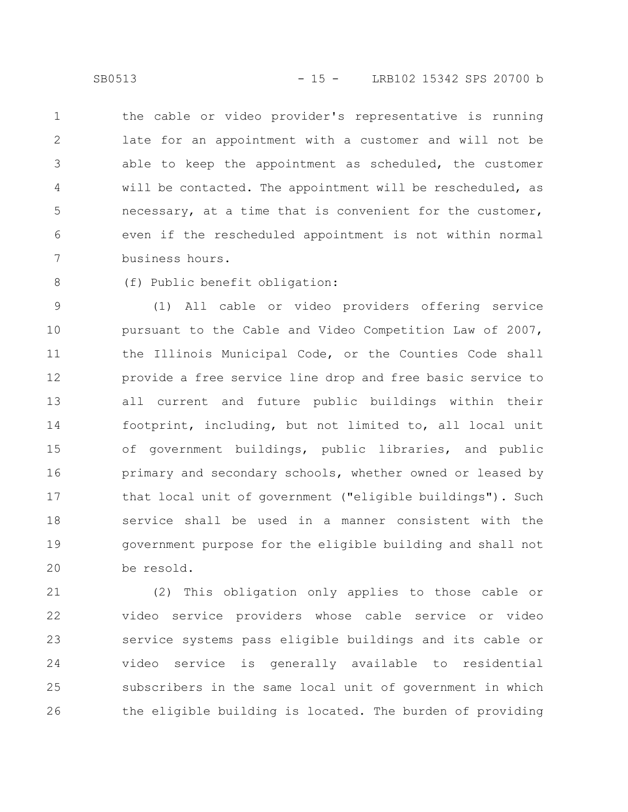the cable or video provider's representative is running late for an appointment with a customer and will not be able to keep the appointment as scheduled, the customer will be contacted. The appointment will be rescheduled, as necessary, at a time that is convenient for the customer, even if the rescheduled appointment is not within normal business hours. 1 2 3 4 5 6 7

(f) Public benefit obligation: 8

(1) All cable or video providers offering service pursuant to the Cable and Video Competition Law of 2007, the Illinois Municipal Code, or the Counties Code shall provide a free service line drop and free basic service to all current and future public buildings within their footprint, including, but not limited to, all local unit of government buildings, public libraries, and public primary and secondary schools, whether owned or leased by that local unit of government ("eligible buildings"). Such service shall be used in a manner consistent with the government purpose for the eligible building and shall not be resold. 9 10 11 12 13 14 15 16 17 18 19 20

(2) This obligation only applies to those cable or video service providers whose cable service or video service systems pass eligible buildings and its cable or video service is generally available to residential subscribers in the same local unit of government in which the eligible building is located. The burden of providing 21 22 23 24 25 26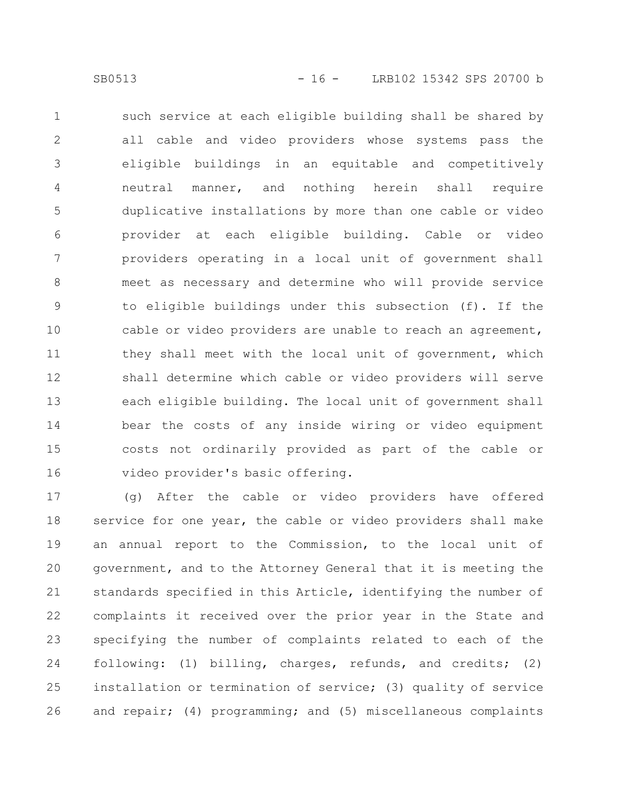such service at each eligible building shall be shared by all cable and video providers whose systems pass the eligible buildings in an equitable and competitively neutral manner, and nothing herein shall require duplicative installations by more than one cable or video provider at each eligible building. Cable or video providers operating in a local unit of government shall meet as necessary and determine who will provide service to eligible buildings under this subsection (f). If the cable or video providers are unable to reach an agreement, they shall meet with the local unit of government, which shall determine which cable or video providers will serve each eligible building. The local unit of government shall bear the costs of any inside wiring or video equipment costs not ordinarily provided as part of the cable or video provider's basic offering. 1 2 3 4 5 6 7 8 9 10 11 12 13 14 15 16

(g) After the cable or video providers have offered service for one year, the cable or video providers shall make an annual report to the Commission, to the local unit of government, and to the Attorney General that it is meeting the standards specified in this Article, identifying the number of complaints it received over the prior year in the State and specifying the number of complaints related to each of the following: (1) billing, charges, refunds, and credits; (2) installation or termination of service; (3) quality of service and repair; (4) programming; and (5) miscellaneous complaints 17 18 19 20 21 22 23 24 25 26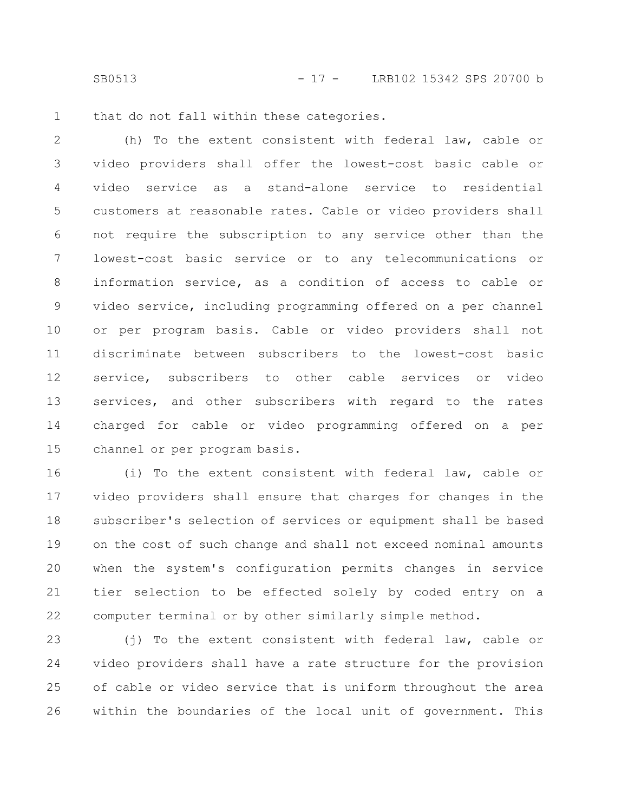SB0513 - 17 - LRB102 15342 SPS 20700 b

that do not fall within these categories. 1

(h) To the extent consistent with federal law, cable or video providers shall offer the lowest-cost basic cable or video service as a stand-alone service to residential customers at reasonable rates. Cable or video providers shall not require the subscription to any service other than the lowest-cost basic service or to any telecommunications or information service, as a condition of access to cable or video service, including programming offered on a per channel or per program basis. Cable or video providers shall not discriminate between subscribers to the lowest-cost basic service, subscribers to other cable services or video services, and other subscribers with regard to the rates charged for cable or video programming offered on a per channel or per program basis. 2 3 4 5 6 7 8 9 10 11 12 13 14 15

(i) To the extent consistent with federal law, cable or video providers shall ensure that charges for changes in the subscriber's selection of services or equipment shall be based on the cost of such change and shall not exceed nominal amounts when the system's configuration permits changes in service tier selection to be effected solely by coded entry on a computer terminal or by other similarly simple method. 16 17 18 19 20 21 22

(j) To the extent consistent with federal law, cable or video providers shall have a rate structure for the provision of cable or video service that is uniform throughout the area within the boundaries of the local unit of government. This 23 24 25 26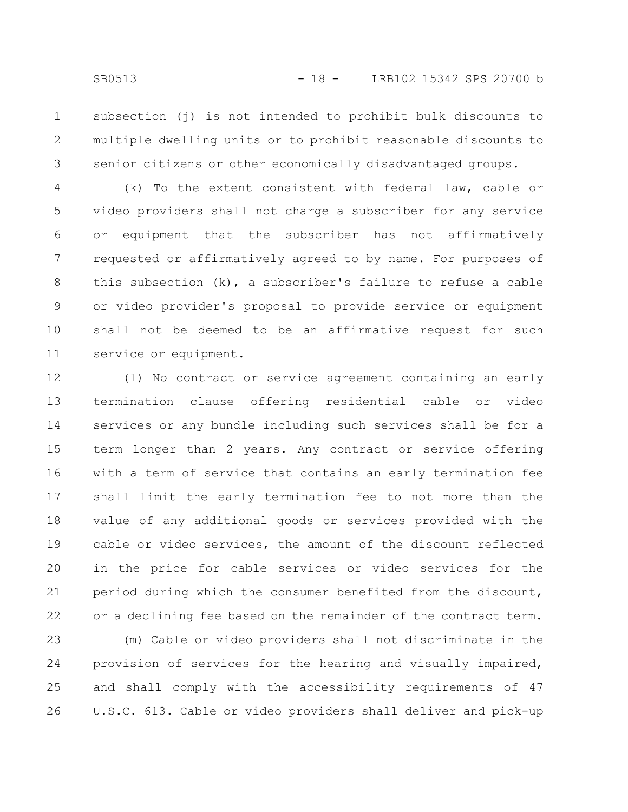subsection (j) is not intended to prohibit bulk discounts to multiple dwelling units or to prohibit reasonable discounts to senior citizens or other economically disadvantaged groups. 1 2 3

(k) To the extent consistent with federal law, cable or video providers shall not charge a subscriber for any service or equipment that the subscriber has not affirmatively requested or affirmatively agreed to by name. For purposes of this subsection (k), a subscriber's failure to refuse a cable or video provider's proposal to provide service or equipment shall not be deemed to be an affirmative request for such service or equipment. 4 5 6 7 8 9 10 11

(l) No contract or service agreement containing an early termination clause offering residential cable or video services or any bundle including such services shall be for a term longer than 2 years. Any contract or service offering with a term of service that contains an early termination fee shall limit the early termination fee to not more than the value of any additional goods or services provided with the cable or video services, the amount of the discount reflected in the price for cable services or video services for the period during which the consumer benefited from the discount, or a declining fee based on the remainder of the contract term. 12 13 14 15 16 17 18 19 20 21 22

(m) Cable or video providers shall not discriminate in the provision of services for the hearing and visually impaired, and shall comply with the accessibility requirements of 47 U.S.C. 613. Cable or video providers shall deliver and pick-up 23 24 25 26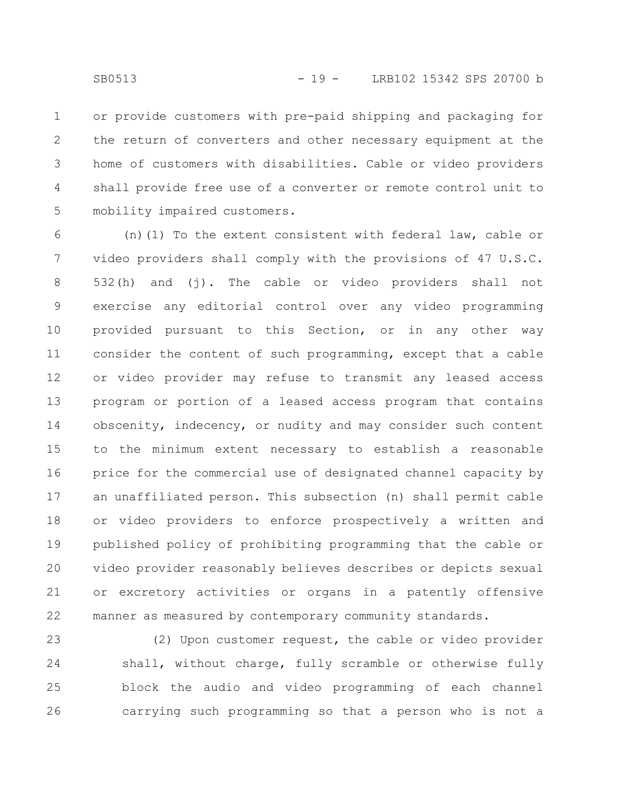or provide customers with pre-paid shipping and packaging for the return of converters and other necessary equipment at the home of customers with disabilities. Cable or video providers shall provide free use of a converter or remote control unit to mobility impaired customers. 1 2 3 4 5

(n)(1) To the extent consistent with federal law, cable or video providers shall comply with the provisions of 47 U.S.C. 532(h) and (j). The cable or video providers shall not exercise any editorial control over any video programming provided pursuant to this Section, or in any other way consider the content of such programming, except that a cable or video provider may refuse to transmit any leased access program or portion of a leased access program that contains obscenity, indecency, or nudity and may consider such content to the minimum extent necessary to establish a reasonable price for the commercial use of designated channel capacity by an unaffiliated person. This subsection (n) shall permit cable or video providers to enforce prospectively a written and published policy of prohibiting programming that the cable or video provider reasonably believes describes or depicts sexual or excretory activities or organs in a patently offensive manner as measured by contemporary community standards. 6 7 8 9 10 11 12 13 14 15 16 17 18 19 20 21 22

(2) Upon customer request, the cable or video provider shall, without charge, fully scramble or otherwise fully block the audio and video programming of each channel carrying such programming so that a person who is not a 23 24 25 26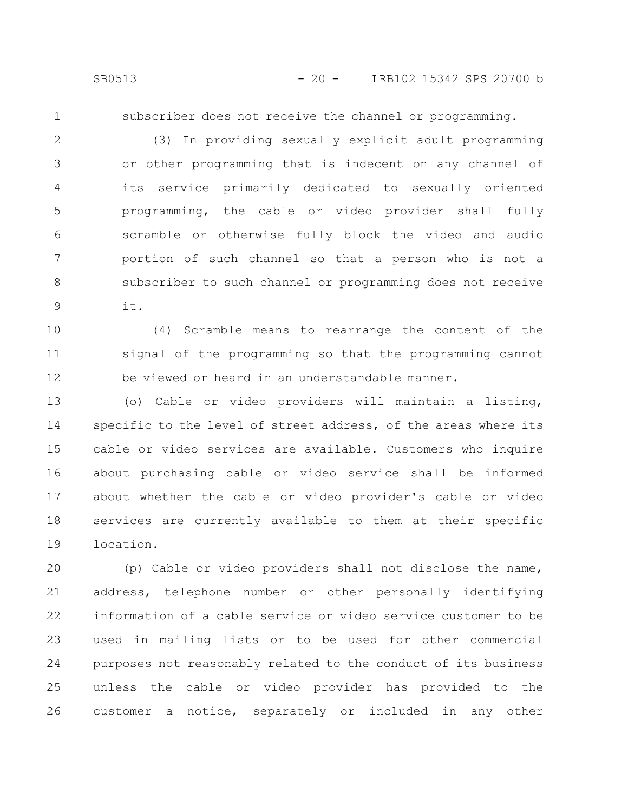1

subscriber does not receive the channel or programming.

(3) In providing sexually explicit adult programming or other programming that is indecent on any channel of its service primarily dedicated to sexually oriented programming, the cable or video provider shall fully scramble or otherwise fully block the video and audio portion of such channel so that a person who is not a subscriber to such channel or programming does not receive it. 2 3 4 5 6 7 8 9

(4) Scramble means to rearrange the content of the signal of the programming so that the programming cannot be viewed or heard in an understandable manner. 10 11 12

(o) Cable or video providers will maintain a listing, specific to the level of street address, of the areas where its cable or video services are available. Customers who inquire about purchasing cable or video service shall be informed about whether the cable or video provider's cable or video services are currently available to them at their specific location. 13 14 15 16 17 18 19

(p) Cable or video providers shall not disclose the name, address, telephone number or other personally identifying information of a cable service or video service customer to be used in mailing lists or to be used for other commercial purposes not reasonably related to the conduct of its business unless the cable or video provider has provided to the customer a notice, separately or included in any other 20 21 22 23 24 25 26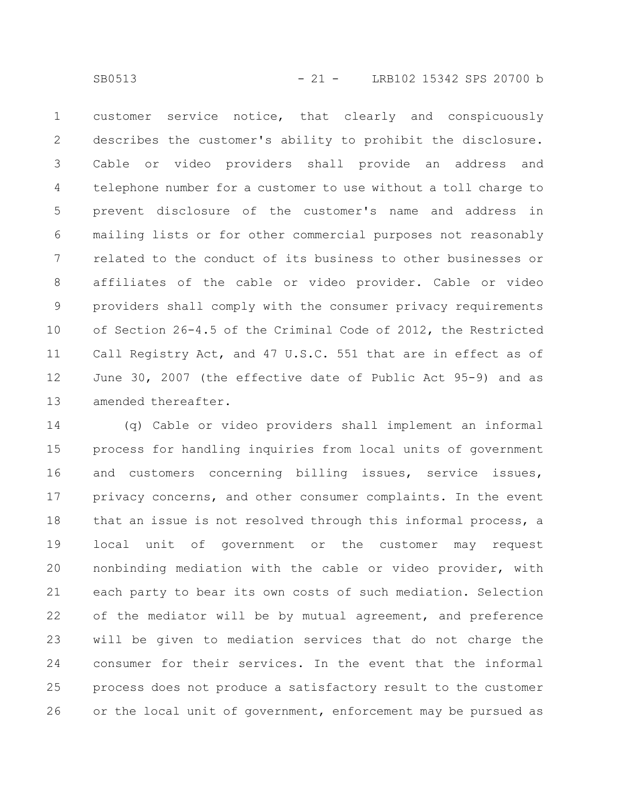customer service notice, that clearly and conspicuously describes the customer's ability to prohibit the disclosure. Cable or video providers shall provide an address and telephone number for a customer to use without a toll charge to prevent disclosure of the customer's name and address in mailing lists or for other commercial purposes not reasonably related to the conduct of its business to other businesses or affiliates of the cable or video provider. Cable or video providers shall comply with the consumer privacy requirements of Section 26-4.5 of the Criminal Code of 2012, the Restricted Call Registry Act, and 47 U.S.C. 551 that are in effect as of June 30, 2007 (the effective date of Public Act 95-9) and as amended thereafter. 1 2 3 4 5 6 7 8 9 10 11 12 13

(q) Cable or video providers shall implement an informal process for handling inquiries from local units of government and customers concerning billing issues, service issues, privacy concerns, and other consumer complaints. In the event that an issue is not resolved through this informal process, a local unit of government or the customer may request nonbinding mediation with the cable or video provider, with each party to bear its own costs of such mediation. Selection of the mediator will be by mutual agreement, and preference will be given to mediation services that do not charge the consumer for their services. In the event that the informal process does not produce a satisfactory result to the customer or the local unit of government, enforcement may be pursued as 14 15 16 17 18 19 20 21 22 23 24 25 26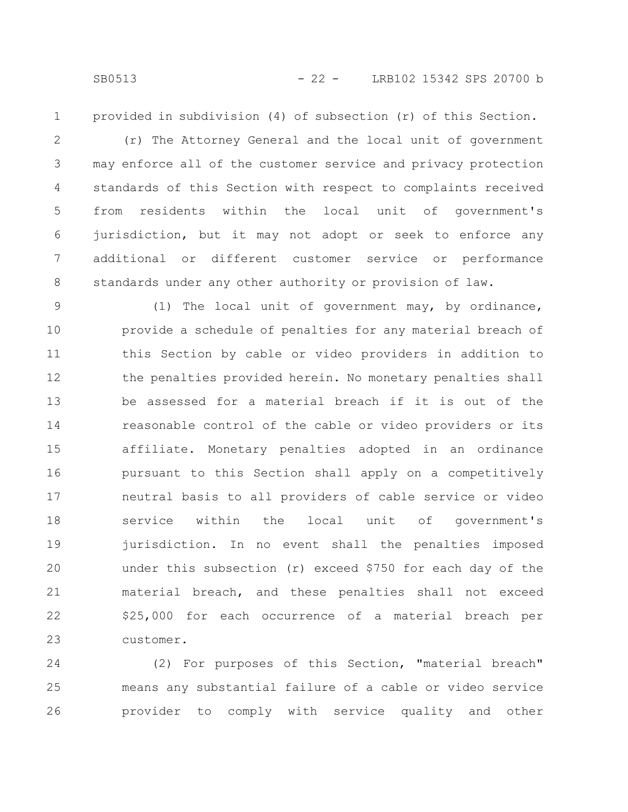1

provided in subdivision (4) of subsection (r) of this Section.

(r) The Attorney General and the local unit of government may enforce all of the customer service and privacy protection standards of this Section with respect to complaints received from residents within the local unit of government's jurisdiction, but it may not adopt or seek to enforce any additional or different customer service or performance standards under any other authority or provision of law. 2 3 4 5 6 7 8

(1) The local unit of government may, by ordinance, provide a schedule of penalties for any material breach of this Section by cable or video providers in addition to the penalties provided herein. No monetary penalties shall be assessed for a material breach if it is out of the reasonable control of the cable or video providers or its affiliate. Monetary penalties adopted in an ordinance pursuant to this Section shall apply on a competitively neutral basis to all providers of cable service or video service within the local unit of government's jurisdiction. In no event shall the penalties imposed under this subsection (r) exceed \$750 for each day of the material breach, and these penalties shall not exceed \$25,000 for each occurrence of a material breach per customer. 9 10 11 12 13 14 15 16 17 18 19 20 21 22 23

(2) For purposes of this Section, "material breach" means any substantial failure of a cable or video service provider to comply with service quality and other 24 25 26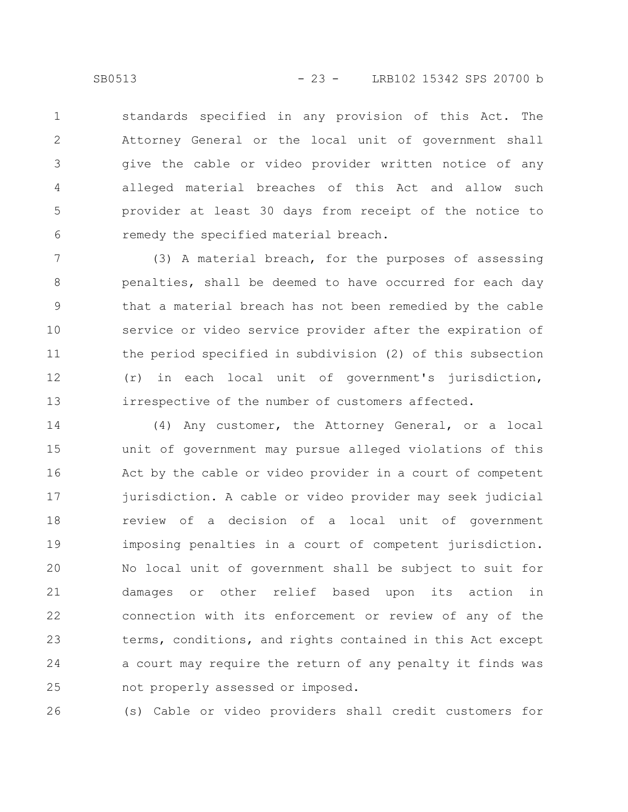standards specified in any provision of this Act. The Attorney General or the local unit of government shall give the cable or video provider written notice of any alleged material breaches of this Act and allow such provider at least 30 days from receipt of the notice to remedy the specified material breach. 1 2 3 4 5 6

(3) A material breach, for the purposes of assessing penalties, shall be deemed to have occurred for each day that a material breach has not been remedied by the cable service or video service provider after the expiration of the period specified in subdivision (2) of this subsection (r) in each local unit of government's jurisdiction, irrespective of the number of customers affected. 7 8 9 10 11 12 13

(4) Any customer, the Attorney General, or a local unit of government may pursue alleged violations of this Act by the cable or video provider in a court of competent jurisdiction. A cable or video provider may seek judicial review of a decision of a local unit of government imposing penalties in a court of competent jurisdiction. No local unit of government shall be subject to suit for damages or other relief based upon its action in connection with its enforcement or review of any of the terms, conditions, and rights contained in this Act except a court may require the return of any penalty it finds was not properly assessed or imposed. 14 15 16 17 18 19 20 21 22 23 24 25

(s) Cable or video providers shall credit customers for 26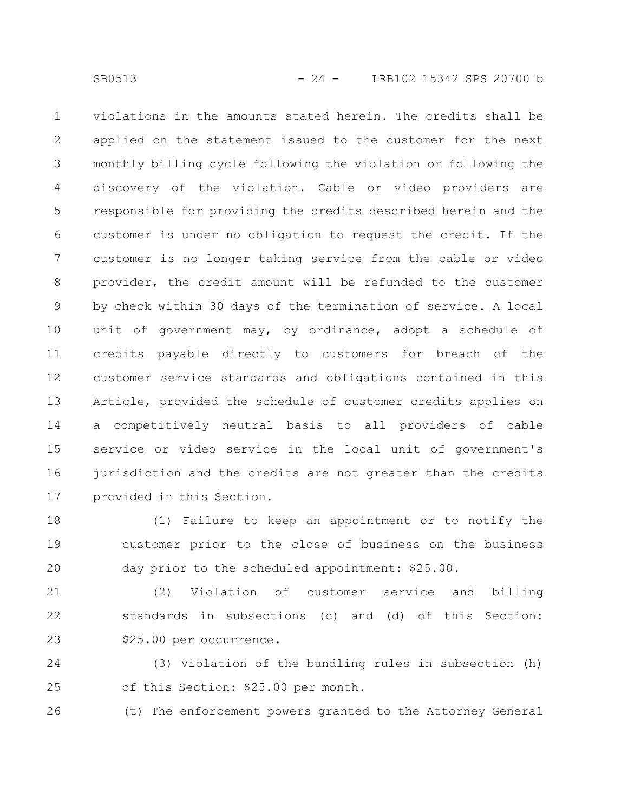violations in the amounts stated herein. The credits shall be applied on the statement issued to the customer for the next monthly billing cycle following the violation or following the discovery of the violation. Cable or video providers are responsible for providing the credits described herein and the customer is under no obligation to request the credit. If the customer is no longer taking service from the cable or video provider, the credit amount will be refunded to the customer by check within 30 days of the termination of service. A local unit of government may, by ordinance, adopt a schedule of credits payable directly to customers for breach of the customer service standards and obligations contained in this Article, provided the schedule of customer credits applies on a competitively neutral basis to all providers of cable service or video service in the local unit of government's jurisdiction and the credits are not greater than the credits provided in this Section. 1 2 3 4 5 6 7 8 9 10 11 12 13 14 15 16 17

(1) Failure to keep an appointment or to notify the customer prior to the close of business on the business day prior to the scheduled appointment: \$25.00. 18 19 20

(2) Violation of customer service and billing standards in subsections (c) and (d) of this Section: \$25.00 per occurrence. 21 22 23

(3) Violation of the bundling rules in subsection (h) of this Section: \$25.00 per month. 24 25

(t) The enforcement powers granted to the Attorney General 26